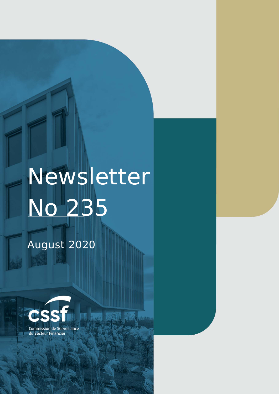# Newsletter No 235

幱

August 2020

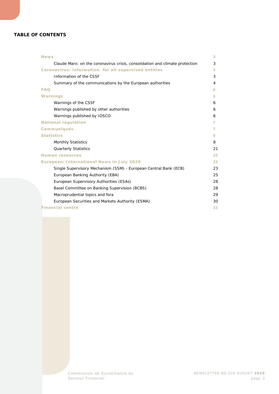#### **TABLE OF CONTENTS**

| <b>News</b>                                                                  | 3  |
|------------------------------------------------------------------------------|----|
| Claude Marx: on the coronavirus crisis, consolidation and climate protection | 3  |
| Coronavirus: information for all supervised entities                         | 3  |
| Information of the CSSF                                                      | 3  |
| Summary of the communications by the European authorities                    | 4  |
| <b>FAQ</b>                                                                   | 6  |
| Warnings                                                                     | 6  |
| Warnings of the CSSF                                                         | 6  |
| Warnings published by other authorities                                      | 6  |
| Warnings published by IOSCO                                                  | 6  |
| <b>National regulation</b>                                                   | 7  |
| <b>Communiqués</b>                                                           | 7  |
| <b>Statistics</b>                                                            | 8  |
| <b>Monthly Statistics</b>                                                    | 8  |
| <b>Quarterly Statistics</b>                                                  | 21 |
| <b>Human resources</b>                                                       | 22 |
| European/International News in July 2020                                     | 23 |
| Single Supervisory Mechanism (SSM) - European Central Bank (ECB)             | 23 |
| European Banking Authority (EBA)                                             | 25 |
| European Supervisory Authorities (ESAs)                                      | 28 |
| Basel Committee on Banking Supervision (BCBS)                                | 28 |
| Macroprudential topics and fora                                              | 29 |
| European Securities and Markets Authority (ESMA)                             | 30 |
| <b>Financial centre</b>                                                      | 33 |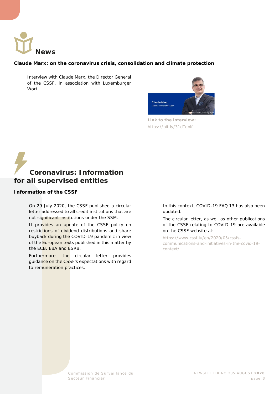<span id="page-2-0"></span>

#### <span id="page-2-1"></span>**Claude Marx: on the coronavirus crisis, consolidation and climate protection**

Interview with Claude Marx, the Director General of the CSSF, in association with Luxemburger Wort.



**Link to the interview:**  <https://bit.ly/31dTdbK>

## <span id="page-2-2"></span>**Coronavirus: Information for all supervised entities**

#### <span id="page-2-3"></span>**Information of the CSSF**

On 29 July 2020, the CSSF published a circular letter addressed to all credit institutions that are not significant institutions under the SSM.

It provides an update of the CSSF policy on restrictions of dividend distributions and share buyback during the COVID-19 pandemic in view of the European texts published in this matter by the ECB, EBA and ESRB.

Furthermore, the circular letter provides guidance on the CSSF's expectations with regard to remuneration practices.

In this context, COVID-19 FAQ 13 has also been updated.

The circular letter, as well as other publications of the CSSF relating to COVID-19 are available on the CSSF website at:

[https://www.cssf.lu/en/2020/05/cssfs](https://www.cssf.lu/en/2020/05/cssfs-communications-and-initiatives-in-the-covid-19-context/)[communications-and-initiatives-in-the-covid-19](https://www.cssf.lu/en/2020/05/cssfs-communications-and-initiatives-in-the-covid-19-context/) [context/](https://www.cssf.lu/en/2020/05/cssfs-communications-and-initiatives-in-the-covid-19-context/)

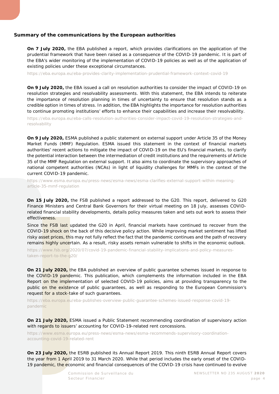#### <span id="page-3-0"></span>**Summary of the communications by the European authorities**

**On 7 July 2020,** the EBA published a report, which provides clarifications on the application of the prudential framework that have been raised as a consequence of the COVID-19 pandemic. It is part of the EBA's wider monitoring of the implementation of COVID-19 policies as well as of the application of existing policies under these exceptional circumstances.

<https://eba.europa.eu/eba-provides-clarity-implementation-prudential-framework-context-covid-19>

**On 9 July 2020,** the EBA issued a call on resolution authorities to consider the impact of COVID-19 on resolution strategies and resolvability assessments. With this statement, the EBA intends to reiterate the importance of resolution planning in times of uncertainty to ensure that resolution stands as a credible option in times of stress. In addition, the EBA highlights the importance for resolution authorities to continue promoting institutions' efforts to enhance their capabilities and increase their resolvability.

[https://eba.europa.eu/eba-calls-resolution-authorities-consider-impact-covid-19-resolution-strategies-and](https://eba.europa.eu/eba-calls-resolution-authorities-consider-impact-covid-19-resolution-strategies-and-resolvability)[resolvability](https://eba.europa.eu/eba-calls-resolution-authorities-consider-impact-covid-19-resolution-strategies-and-resolvability)

**On 9 July 2020,** ESMA published a public statement on external support under Article 35 of the Money Market Funds (MMF) Regulation. ESMA issued this statement in the context of financial markets authorities' recent actions to mitigate the impact of COVID-19 on the EU's financial markets, to clarify the potential interaction between the intermediation of credit institutions and the requirements of Article 35 of the MMF Regulation on external support. It also aims to coordinate the supervisory approaches of national competent authorities (NCAs) in light of liquidity challenges for MMFs in the context of the current COVID-19 pandemic.

[https://www.esma.europa.eu/press-news/esma-news/esma-clarifies-external-support-within-meaning](https://www.esma.europa.eu/press-news/esma-news/esma-clarifies-external-support-within-meaning-article-35-mmf-regulation)[article-35-mmf-regulation](https://www.esma.europa.eu/press-news/esma-news/esma-clarifies-external-support-within-meaning-article-35-mmf-regulation)

**On 15 July 2020,** the FSB published a report addressed to the G20. This report, delivered to G20 Finance Ministers and Central Bank Governors for their virtual meeting on 18 July, assesses COVIDrelated financial stability developments, details policy measures taken and sets out work to assess their effectiveness.

Since the FSB last updated the G20 in April, financial markets have continued to recover from the COVID-19 shock on the back of this decisive policy action. While improving market sentiment has lifted risky asset prices, this may not fully reflect the fact that the pandemic continues and the path of recovery remains highly uncertain. As a result, risky assets remain vulnerable to shifts in the economic outlook.

[https://www.fsb.org/2020/07/covid-19-pandemic-financial-stability-implications-and-policy-measures](https://www.fsb.org/2020/07/covid-19-pandemic-financial-stability-implications-and-policy-measures-taken-report-to-the-g20/)[taken-report-to-the-g20/](https://www.fsb.org/2020/07/covid-19-pandemic-financial-stability-implications-and-policy-measures-taken-report-to-the-g20/)

**On 21 July 2020,** the EBA published an overview of public guarantee schemes issued in response to the COVID-19 pandemic. This publication, which complements the information included in the EBA Report on the implementation of selected COVID-19 policies, aims at providing transparency to the public on the existence of public guarantees, as well as responding to the European Commission's request for a stock-take of such guarantees.

[https://eba.europa.eu/eba-publishes-overview-public-guarantee-schemes-issued-response-covid-19](https://eba.europa.eu/eba-publishes-overview-public-guarantee-schemes-issued-response-covid-19-pandemic) [pandemic](https://eba.europa.eu/eba-publishes-overview-public-guarantee-schemes-issued-response-covid-19-pandemic)

**On 21 July 2020,** ESMA issued a Public Statement recommending coordination of supervisory action with regards to issuers' accounting for COVID-19-related rent concessions.

[https://www.esma.europa.eu/press-news/esma-news/esma-recommends-supervisory-coordination](https://www.esma.europa.eu/press-news/esma-news/esma-recommends-supervisory-coordination-accounting-covid-19-related-rent)[accounting-covid-19-related-rent](https://www.esma.europa.eu/press-news/esma-news/esma-recommends-supervisory-coordination-accounting-covid-19-related-rent)

**On 23 July 2020,** the ESRB published its Annual Report 2019. This ninth ESRB Annual Report covers the year from 1 April 2019 to 31 March 2020. While that period includes the early onset of the COVID-19 pandemic, the economic and financial consequences of the COVID-19 crisis have continued to evolve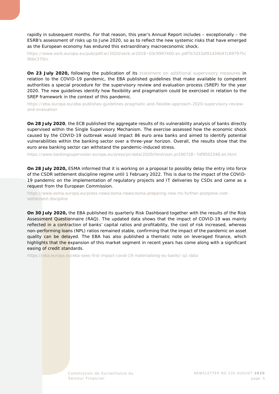rapidly in subsequent months. For that reason, this year's Annual Report includes – exceptionally – the ESRB's assessment of risks up to June 2020, so as to reflect the new systemic risks that have emerged as the European economy has endured this extraordinary macroeconomic shock.

[https://www.esrb.europa.eu/pub/pdf/ar/2020/esrb.ar2019~03c9997400.en.pdf?b7d33af91d34b47c897975c](https://www.esrb.europa.eu/pub/pdf/ar/2020/esrb.ar2019%7E03c9997400.en.pdf?b7d33af91d34b47c897975c9bbc370cc) [9bbc370cc](https://www.esrb.europa.eu/pub/pdf/ar/2020/esrb.ar2019%7E03c9997400.en.pdf?b7d33af91d34b47c897975c9bbc370cc)

**On 23 July 2020, following the publication of its [statement on additional supervisory measures](https://eba.europa.eu/sites/default/documents/files/document_library/News%20and%20Press/Press%20Room/Press%20Releases/2020/EBA%20Provides%20further%20guidance%20on%20the%20use%20of%20flexibility%20in%20relation%20to%20COVID-19%20and%20Calls%20for%20heightened%20attention%20to%20risks/882754/EBA%20statement%20on%20additional%20supervisory%20measures%20in%20the%20COVID-19%20pandemic.pdf) in** relation to the COVID-19 pandemic, the EBA published guidelines that make available to competent authorities a special procedure for the supervisory review and evaluation process (SREP) for the year 2020. The new guidelines identify how flexibility and pragmatism could be exercised in relation to the SREP framework in the context of this pandemic.

[https://eba.europa.eu/eba-publishes-guidelines-pragmatic-and-flexible-approach-2020-supervisory-review](https://eba.europa.eu/eba-publishes-guidelines-pragmatic-and-flexible-approach-2020-supervisory-review-and-evaluation)[and-evaluation](https://eba.europa.eu/eba-publishes-guidelines-pragmatic-and-flexible-approach-2020-supervisory-review-and-evaluation)

**On 28 July 2020**, the ECB published the aggregate results of its vulnerability analysis of banks directly supervised within the Single Supervisory Mechanism. The exercise assessed how the economic shock caused by the COVID-19 outbreak would impact 86 euro area banks and aimed to identify potential vulnerabilities within the banking sector over a three-year horizon. Overall, the results show that the euro area banking sector can withstand the pandemic-induced stress.

[https://www.bankingsupervision.europa.eu/press/pr/date/2020/html/ssm.pr200728~7df9502348.en.html](https://www.bankingsupervision.europa.eu/press/pr/date/2020/html/ssm.pr200728%7E7df9502348.en.html)

**On 28 July 2020,** ESMA informed that it is working on a proposal to possibly delay the entry into force of the CSDR settlement discipline regime until 1 February 2022. This is due to the impact of the COVID-19 pandemic on the implementation of regulatory projects and IT deliveries by CSDs and came as a request from the European Commission.

[https://www.esma.europa.eu/press-news/esma-news/esma-preparing-new-rts-further-postpone-csdr](https://www.esma.europa.eu/press-news/esma-news/esma-preparing-new-rts-further-postpone-csdr-settlement-discipline)[settlement-discipline](https://www.esma.europa.eu/press-news/esma-news/esma-preparing-new-rts-further-postpone-csdr-settlement-discipline)

**On 30 July 2020,** the EBA published its quarterly Risk Dashboard together with the results of the Risk Assessment Questionnaire (RAQ). The updated data shows that the impact of COVID-19 was mainly reflected in a contraction of banks' capital ratios and profitability, the cost of risk increased, whereas non-performing loans (NPL) ratios remained stable, confirming that the impact of the pandemic on asset quality can be delayed. The EBA has also published a thematic note on leveraged finance, which highlights that the expansion of this market segment in recent years has come along with a significant easing of credit standards.

[https://eba.europa.eu/eba-sees-first-impact-covid-19-materialising-eu-banks'-q1-data](https://eba.europa.eu/eba-sees-first-impact-covid-19-materialising-eu-banks)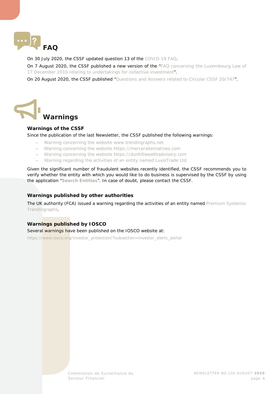<span id="page-5-0"></span>

On 30 July 2020, the CSSF updated question 13 of the [COVID-19 FAQ.](https://www.cssf.lu/en/document/faq-covid-19/)

On 7 August 2020, the CSSF published a new version of the "FAQ concerning the Luxembourg Law of 17 December 2010 relating [to undertakings for collective investment"](https://www.cssf.lu/en/document/faq-concerning-the-luxembourg-law-of-17-december-2010-relating-to-undertakings-for-collective-investment-version-9/).

On 20 August 2020, the CSSF published ["Questions and Answers related to Circular CSSF 20/747"](https://www.cssf.lu/en/document/questions-and-answers-related-to-circular-cssf-20-747/).

<span id="page-5-1"></span>

#### <span id="page-5-2"></span>**Warnings of the CSSF**

Since the publication of the last Newsletter, the CSSF published the following warnings:

- − [Warning concerning the website www.trendingraphs.net](https://www.cssf.lu/en/2020/07/warning-concerning-the-website-www-trendingraphs-net/)
- − [Warning concerning the website https://merceralternatives.com](https://www.cssf.lu/en/2020/07/warning-concerning-the-website-https-merceralternatives-com/)
- − [Warning concerning the website https://dunhillwealthadvisory.com](https://www.cssf.lu/en/2020/07/warning-concerning-the-website-https-dunhillwealthadvisory-com/)
- − [Warning regarding the activities of an entity named LuxisTrade Ltd](https://www.cssf.lu/en/2020/08/warning-regarding-the-activities-of-an-entity-named-luxistrade-ltd/)

Given the significant number of fraudulent websites recently identified, the CSSF recommends you to verify whether the entity with which you would like to do business is supervised by the CSSF by using the application "**[Search Entities](https://searchentities.apps.cssf.lu/search-entities/search?lng=en)**". In case of doubt, please contact the CSSF.

#### <span id="page-5-3"></span>**Warnings published by other authorities**

The UK authority (FCA) issued a warning regarding the activities of an entity named Premium Systems/ [Trendingraphs.](https://www.fca.org.uk/news/warnings/premium-systems-trendingraphs)

#### <span id="page-5-4"></span>**Warnings published by IOSCO**

Several warnings have been published on the IOSCO website at:

[https://www.iosco.org/investor\\_protection/?subsection=investor\\_alerts\\_portal](https://www.iosco.org/investor_protection/?subsection=investor_alerts_portal)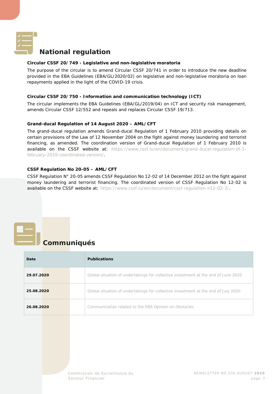<span id="page-6-0"></span>

#### **National regulation**

#### **Circular CSSF 20/749 - Legislative and non-legislative moratoria**

The purpose of the circular is to amend Circular CSSF 20/741 in order to introduce the new deadline provided in the EBA Guidelines (EBA/GL/2020/02) on legislative and non-legislative moratoria on loan repayments applied in the light of the COVID-19 crisis.

#### **Circular CSSF 20/750 - Information and communication technology (ICT)**

The circular implements the EBA Guidelines (EBA/GL/2019/04) on ICT and security risk management, amends Circular CSSF 12/552 and repeals and replaces Circular CSSF 19/713.

#### **Grand-ducal Regulation of 14 August 2020 – AML/CFT**

The grand-ducal regulation amends Grand-ducal Regulation of 1 February 2010 providing details on certain provisions of the Law of 12 November 2004 on the fight against money laundering and terrorist financing, as amended. The coordination version of Grand-ducal Regulation of 1 February 2010 is available on the CSSF website at: [https://www.cssf.lu/en/document/grand-ducal-regulation-of-1](https://www.cssf.lu/en/document/grand-ducal-regulation-of-1-february-2010-coordinated-version/) [february-2010-coordinated-version/.](https://www.cssf.lu/en/document/grand-ducal-regulation-of-1-february-2010-coordinated-version/)

#### **CSSF Regulation No 20-05 – AML/CFT**

CSSF Regulation N° 20-05 amends CSSF Regulation No 12-02 of 14 December 2012 on the fight against money laundering and terrorist financing. The coordinated version of CSSF Regulation No 12-02 is available on the CSSF website at: [https://www.cssf.lu/en/document/cssf-regulation-n12-02-2/.](https://www.cssf.lu/en/document/cssf-regulation-n12-02-2/)

## <span id="page-6-1"></span>**Communiqués**

| Date       |  | <b>Publications</b>                                                                |  |  |
|------------|--|------------------------------------------------------------------------------------|--|--|
| 29.07.2020 |  | Global situation of undertakings for collective investment at the end of June 2020 |  |  |
| 25.08.2020 |  | Global situation of undertakings for collective investment at the end of July 2020 |  |  |
| 26.08.2020 |  | Communication related to the EBA Opinion on Obstacles                              |  |  |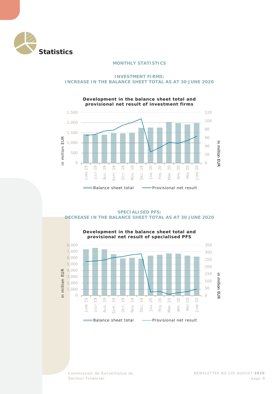<span id="page-7-1"></span><span id="page-7-0"></span>

#### **MONTHLY STATISTICS**

#### **INVESTMENT FIRMS: INCREASE IN THE BALANCE SHEET TOTAL AS AT 30 JUNE 2020**



#### **Development in the balance sheet total and provisional net result of investment firms**

#### **SPECIALISED PFS: DECREASE IN THE BALANCE SHEET TOTAL AS AT 30 JUNE 2020**



**Development in the balance sheet total and provisional net result of specialised PFS**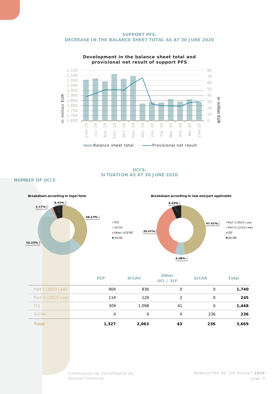



### **Development in the balance sheet total and**

**UCIS: SITUATION AS AT 30 JUNE 2020**

**NUMBER OF UCIS**



| <b>Total</b> | 1,327 | 2,063 | 43 | 236 | 3,669 |
|--------------|-------|-------|----|-----|-------|
| SICAR        |       |       |    | 236 | 236   |
| <b>FIS</b>   | 309   | 1,098 | 41 |     | 1,448 |
|              |       |       |    |     |       |

Secteur Financier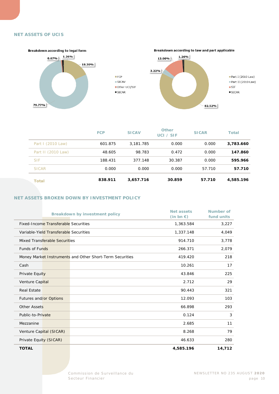#### **NET ASSETS OF UCIS**



|                    | <b>FCP</b> | <b>SICAV</b> | <b>Other</b><br>UCI / SIF | <b>SICAR</b> | <b>Total</b> |
|--------------------|------------|--------------|---------------------------|--------------|--------------|
| Part I (2010 Law)  | 601.875    | 3,181,785    | 0.000                     | 0.000        | 3,783.660    |
| Part II (2010 Law) | 48.605     | 98.783       | 0.472                     | 0.000        | 147.860      |
| <b>SIF</b>         | 188.431    | 377.148      | 30.387                    | 0.000        | 595.966      |
| <b>SICAR</b>       | 0.000      | 0.000        | 0.000                     | 57.710       | 57.710       |
| Total              | 838.911    | 3,657.716    | 30.859                    | 57.710       | 4,585.196    |

#### **NET ASSETS BROKEN DOWN BY INVESTMENT POLICY**

|                        |                                             | <b>Breakdown by investment policy</b>                    | Net assets<br>$(in bn \in)$ | Number of<br>fund units |
|------------------------|---------------------------------------------|----------------------------------------------------------|-----------------------------|-------------------------|
|                        | <b>Fixed-Income Transferable Securities</b> |                                                          | 1,363.584                   | 3,227                   |
|                        | Variable-Yield Transferable Securities      |                                                          | 1,337.148                   | 4,049                   |
|                        | Mixed Transferable Securities               |                                                          | 914.710                     | 3,778                   |
| <b>Funds of Funds</b>  |                                             |                                                          | 266.371                     | 2,079                   |
|                        |                                             | Money Market Instruments and Other Short-Term Securities | 419.420                     | 218                     |
| Cash                   |                                             |                                                          | 10.261                      | 17                      |
| Private Equity         |                                             |                                                          | 43.846                      | 225                     |
| Venture Capital        |                                             |                                                          | 2.712                       | 29                      |
| <b>Real Estate</b>     |                                             |                                                          | 90.443                      | 321                     |
| Futures and/or Options |                                             |                                                          | 12.093                      | 103                     |
| <b>Other Assets</b>    |                                             |                                                          | 66.898                      | 293                     |
| Public-to-Private      |                                             |                                                          | 0.124                       | 3                       |
| Mezzanine              |                                             |                                                          | 2.685                       | 11                      |
|                        | Venture Capital (SICAR)                     |                                                          | 8.268                       | 79                      |
| Private Equity (SICAR) |                                             |                                                          | 46.633                      | 280                     |
| <b>TOTAL</b>           |                                             |                                                          | 4,585.196                   | 14,712                  |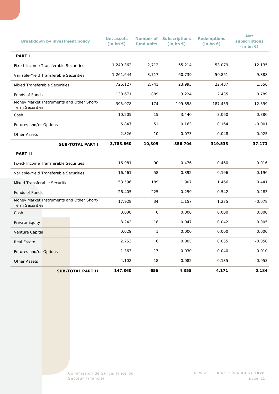|                                        | <b>Breakdown by investment policy</b> |                                           | <b>Net assets</b><br>$(in bn \in)$ | Number of<br>fund units | <b>Subscriptions</b><br>(in bn $\epsilon$ ) | <b>Redemptions</b><br>(in bn $\epsilon$ ) | <b>Net</b><br>subscriptions<br>(in bn $\epsilon$ ) |  |
|----------------------------------------|---------------------------------------|-------------------------------------------|------------------------------------|-------------------------|---------------------------------------------|-------------------------------------------|----------------------------------------------------|--|
| <b>PART I</b>                          |                                       |                                           |                                    |                         |                                             |                                           |                                                    |  |
| Fixed-Income Transferable Securities   |                                       |                                           | 1,249.362                          | 2,712                   | 65.214                                      | 53.079                                    | 12.135                                             |  |
| Variable-Yield Transferable Securities |                                       |                                           | 1,261.644                          | 3,717                   | 60.739                                      | 50.851                                    | 9.888                                              |  |
| <b>Mixed Transferable Securities</b>   |                                       |                                           | 726.127                            | 2,741                   | 23.993                                      | 22.437                                    | 1.556                                              |  |
| Funds of Funds                         |                                       |                                           | 130.671                            | 889                     | 3.224                                       | 2.435                                     | 0.789                                              |  |
| <b>Term Securities</b>                 |                                       | Money Market Instruments and Other Short- | 395.978                            | 174                     | 199.858                                     | 187.459                                   | 12.399                                             |  |
| Cash                                   |                                       |                                           | 10.205                             | 15                      | 3.440                                       | 3.060                                     | 0.380                                              |  |
| Futures and/or Options                 |                                       |                                           | 6.847                              | 51                      | 0.163                                       | 0.164                                     | $-0.001$                                           |  |
| <b>Other Assets</b>                    |                                       | 2.826                                     | 10                                 | 0.073                   | 0.048                                       | 0.025                                     |                                                    |  |
|                                        |                                       | <b>SUB-TOTAL PART I</b>                   | 3,783.660                          | 10,309                  | 356.704                                     | 319.533                                   | 37.171                                             |  |
| <b>PART II</b>                         |                                       |                                           |                                    |                         |                                             |                                           |                                                    |  |
| Fixed-Income Transferable Securities   |                                       |                                           | 16.981                             | 90                      | 0.476                                       | 0.460                                     | 0.016                                              |  |
| Variable-Yield Transferable Securities |                                       |                                           | 16.461                             | 58                      | 0.392                                       | 0.196                                     | 0.196                                              |  |
| Mixed Transferable Securities          |                                       |                                           | 53.596                             | 189                     | 1.907                                       | 1.466                                     | 0.441                                              |  |
| Funds of Funds                         |                                       |                                           | 26.405                             | 225                     | 0.259                                       | 0.542                                     | $-0.283$                                           |  |
| <b>Term Securities</b>                 |                                       | Money Market Instruments and Other Short- | 17.928                             | 34                      | 1.157                                       | 1.235                                     | $-0.078$                                           |  |
| Cash                                   |                                       |                                           | 0.000                              | $\mathbf{O}$            | 0.000                                       | 0.000                                     | 0.000                                              |  |
| Private Equity                         |                                       |                                           | 8.242                              | 18                      | 0.047                                       | 0.042                                     | 0.005                                              |  |
| Venture Capital                        |                                       |                                           | 0.029                              | $\mathbf{1}$            | 0.000                                       | 0.000                                     | 0.000                                              |  |
| Real Estate                            |                                       |                                           | 2.753                              | 6                       | 0.005                                       | 0.055                                     | $-0.050$                                           |  |
| Futures and/or Options                 |                                       |                                           | 1.363                              | 17                      | 0.030                                       | 0.040                                     | $-0.010$                                           |  |
| <b>Other Assets</b>                    |                                       |                                           | 4.102                              | 18                      | 0.082                                       | 0.135                                     | $-0.053$                                           |  |
|                                        |                                       | <b>SUB-TOTAL PART II</b>                  | 147.860                            | 656                     | 4.355                                       | 4.171                                     | 0.184                                              |  |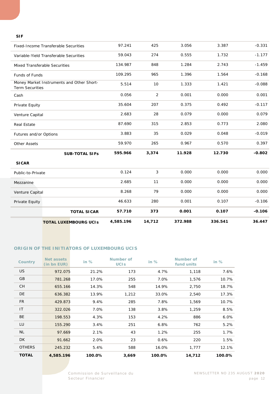#### **SIF**

|                                        | <b>TOTAL LUXEMBOURG UCIS</b>                | 4,585.196 | 14,712         | 372.988 | 336.541 | 36.447   |
|----------------------------------------|---------------------------------------------|-----------|----------------|---------|---------|----------|
|                                        | <b>TOTAL SICAR</b>                          | 57.710    | 373            | 0.001   | 0.107   | $-0.106$ |
| Private Equity                         |                                             | 46.633    | 280            | 0.001   | 0.107   | $-0.106$ |
| Venture Capital                        |                                             | 8.268     | 79             | 0.000   | 0.000   | 0.000    |
| Mezzanine                              |                                             | 2.685     | 11             | 0.000   | 0.000   | 0.000    |
| Public-to-Private                      |                                             | 0.124     | 3              | 0.000   | 0.000   | 0.000    |
| <b>SICAR</b>                           |                                             |           |                |         |         |          |
|                                        | <b>SUB-TOTAL SIFs</b>                       | 595.966   | 3,374          | 11.928  | 12.730  | $-0.802$ |
| <b>Other Assets</b>                    |                                             | 59.970    | 265            | 0.967   | 0.570   | 0.397    |
| Futures and/or Options                 |                                             | 3.883     | 35             | 0.029   | 0.048   | $-0.019$ |
| <b>Real Estate</b>                     |                                             | 87.690    | 315            | 2.853   | 0.773   | 2.080    |
| Venture Capital                        |                                             | 2.683     | 28             | 0.079   | 0.000   | 0.079    |
| Private Equity                         |                                             | 35.604    | 207            | 0.375   | 0.492   | $-0.117$ |
| Cash                                   |                                             | 0.056     | $\overline{2}$ | 0.001   | 0.000   | 0.001    |
| <b>Term Securities</b>                 | Money Market Instruments and Other Short-   | 5.514     | 10             | 1.333   | 1.421   | $-0.088$ |
| Funds of Funds                         |                                             | 109.295   | 965            | 1.396   | 1.564   | $-0.168$ |
|                                        | Mixed Transferable Securities               | 134.987   | 848            | 1.284   | 2.743   | $-1.459$ |
| Variable-Yield Transferable Securities |                                             | 59.043    | 274            | 0.555   | 1.732   | $-1.177$ |
|                                        | <b>Fixed-Income Transferable Securities</b> | 97.241    | 425            | 3.056   | 3.387   | $-0.331$ |
|                                        |                                             |           |                |         |         |          |

#### **ORIGIN OF THE INITIATORS OF LUXEMBOURG UCIS**

| Country       | <b>Net assets</b><br>(in bn EUR) | in $%$ | Number of<br><b>UCIS</b> | in $%$ | Number of<br>fund units | in %    |
|---------------|----------------------------------|--------|--------------------------|--------|-------------------------|---------|
| <b>US</b>     | 972.075                          | 21.2%  | 173                      | 4.7%   | 1,118                   | 7.6%    |
| GB            | 781.268                          | 17.0%  | 255                      | 7.0%   | 1,576                   | 10.7%   |
| <b>CH</b>     | 655.166                          | 14.3%  | 548                      | 14.9%  | 2,750                   | 18.7%   |
| DE            | 636.382                          | 13.9%  | 1,212                    | 33.0%  | 2,540                   | 17.3%   |
| <b>FR</b>     | 429.873                          | 9.4%   | 285                      | 7.8%   | 1,569                   | 10.7%   |
| IT            | 322.026                          | 7.0%   | 138                      | 3.8%   | 1,259                   | 8.5%    |
| <b>BE</b>     | 198.553                          | 4.3%   | 153                      | 4.2%   | 886                     | 6.0%    |
| LU            | 155.290                          | 3.4%   | 251                      | 6.8%   | 762                     | 5.2%    |
| <b>NL</b>     | 97.669                           | 2.1%   | 43                       | 1.2%   | 255                     | $1.7\%$ |
| DK            | 91.662                           | 2.0%   | 23                       | 0.6%   | 220                     | 1.5%    |
| <b>OTHERS</b> | 245.232                          | 5.4%   | 588                      | 16.0%  | 1,777                   | 12.1%   |
| <b>TOTAL</b>  | 4,585.196                        | 100.0% | 3,669                    | 100.0% | 14,712                  | 100.0%  |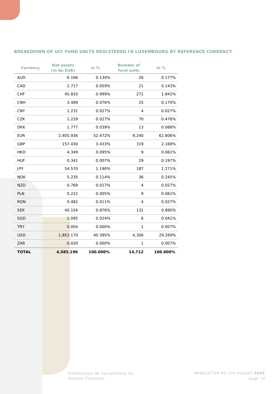#### **BREAKDOWN OF UCI FUND UNITS REGISTERED IN LUXEMBOURG BY REFERENCE CURRENCY**

| <b>Currency</b> | <b>Net assets</b><br>(in bn EUR) | in %     | <b>Number of</b><br>fund units | in $%$   |
|-----------------|----------------------------------|----------|--------------------------------|----------|
| <b>AUD</b>      | 6.166                            | 0.134%   | 26                             | 0.177%   |
| CAD             | 2.717                            | 0.059%   | 21                             | 0.143%   |
| <b>CHF</b>      | 45.810                           | 0.999%   | 271                            | 1.842%   |
| <b>CNH</b>      | 3.489                            | 0.076%   | 25                             | 0.170%   |
| <b>CNY</b>      | 1.231                            | 0.027%   | $\overline{4}$                 | 0.027%   |
| <b>CZK</b>      | 1.229                            | 0.027%   | 70                             | 0.476%   |
| <b>DKK</b>      | 1.777                            | 0.039%   | 13                             | 0.088%   |
| <b>EUR</b>      | 2,405.936                        | 52.472%  | 9,240                          | 62.806%  |
| GBP             | 157.430                          | 3.433%   | 319                            | 2.168%   |
| <b>HKD</b>      | 4.349                            | 0.095%   | 9                              | 0.061%   |
| <b>HUF</b>      | 0.341                            | 0.007%   | 29                             | 0.197%   |
| <b>JPY</b>      | 54.570                           | 1.190%   | 187                            | 1.271%   |
| <b>NOK</b>      | 5.235                            | 0.114%   | 36                             | 0.245%   |
| <b>NZD</b>      | 0.769                            | 0.017%   | 4                              | 0.027%   |
| <b>PLN</b>      | 0.222                            | 0.005%   | 9                              | 0.061%   |
| <b>RON</b>      | 0.482                            | 0.011%   | $\overline{4}$                 | 0.027%   |
| <b>SEK</b>      | 40.154                           | 0.876%   | 131                            | 0.890%   |
| <b>SGD</b>      | 1.095                            | 0.024%   | 6                              | 0.041%   |
| <b>TRY</b>      | 0.004                            | 0.000%   | 1                              | 0.007%   |
| <b>USD</b>      | 1,852.170                        | 40.395%  | 4,306                          | 29.269%  |
| ZAR             | 0.020                            | 0.000%   | 1                              | 0.007%   |
| <b>TOTAL</b>    | 4,585.196                        | 100.000% | 14,712                         | 100.000% |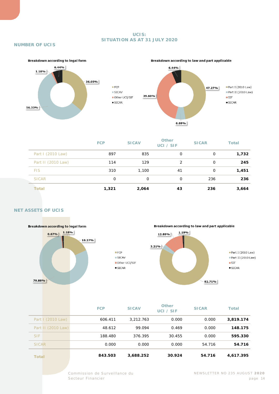#### **UCIS: SITUATION AS AT 31 JULY 2020**

#### **NUMBER OF UCIS**



|                    | <b>FCP</b> | <b>SICAV</b> | <b>Other</b><br>UCI / SIF | <b>SICAR</b> | <b>Total</b> |
|--------------------|------------|--------------|---------------------------|--------------|--------------|
| Part I (2010 Law)  | 897        | 835          | 0                         | 0            | 1,732        |
| Part II (2010 Law) | 114        | 129          | $\overline{2}$            | 0            | 245          |
| <b>FIS</b>         | 310        | 1,100        | 41                        | 0            | 1,451        |
| <b>SICAR</b>       | 0          | 0            | 0                         | 236          | 236          |
| Total              | 1,321      | 2,064        | 43                        | 236          | 3,664        |

#### **NET ASSETS OF UCIS**



 $IFCP$  $\blacksquare$  SICAV Other UCI/SIF  $\blacksquare$ SICAR

Breakdown according to law and part applicable



|                    | <b>FCP</b> | <b>SICAV</b> | <b>Other</b><br>UCI / SIF | <b>SICAR</b> | <b>Total</b> |
|--------------------|------------|--------------|---------------------------|--------------|--------------|
| Part I (2010 Law)  | 606.411    | 3.212.763    | 0.000                     | 0.000        | 3,819.174    |
| Part II (2010 Law) | 48.612     | 99.094       | 0.469                     | 0.000        | 148.175      |
| <b>SIF</b>         | 188.480    | 376.395      | 30.455                    | 0.000        | 595.330      |
| <b>SICAR</b>       | 0.000      | 0.000        | 0.000                     | 54.716       | 54.716       |
| <b>Total</b>       | 843.503    | 3,688.252    | 30.924                    | 54.716       | 4,617.395    |

Commission de Surveillance du NEWSLETTER NO 235 AUGUST **2020**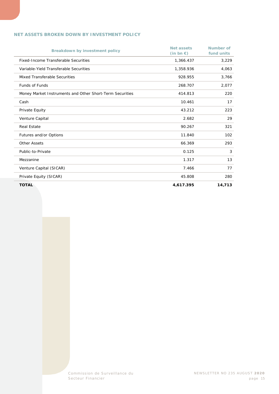#### **NET ASSETS BROKEN DOWN BY INVESTMENT POLICY**

| Breakdown by investment policy                           | <b>Net assets</b><br>$(in bn \in)$ | <b>Number of</b><br>fund units |
|----------------------------------------------------------|------------------------------------|--------------------------------|
| Fixed-Income Transferable Securities                     | 1,366.437                          | 3,229                          |
| Variable-Yield Transferable Securities                   | 1,358.936                          | 4,063                          |
| Mixed Transferable Securities                            | 928.955                            | 3,766                          |
| <b>Funds of Funds</b>                                    | 268.707                            | 2,077                          |
| Money Market Instruments and Other Short-Term Securities | 414.813                            | 220                            |
| Cash                                                     | 10.461                             | 17                             |
| Private Equity                                           | 43.212                             | 223                            |
| Venture Capital                                          | 2.682                              | 29                             |
| <b>Real Estate</b>                                       | 90.267                             | 321                            |
| Futures and/or Options                                   | 11.840                             | 102                            |
| <b>Other Assets</b>                                      | 66.369                             | 293                            |
| Public-to-Private                                        | 0.125                              | 3                              |
| Mezzanine                                                | 1.317                              | 13                             |
| Venture Capital (SICAR)                                  | 7.466                              | 77                             |
| Private Equity (SICAR)                                   | 45.808                             | 280                            |
| <b>TOTAL</b>                                             | 4,617.395                          | 14,713                         |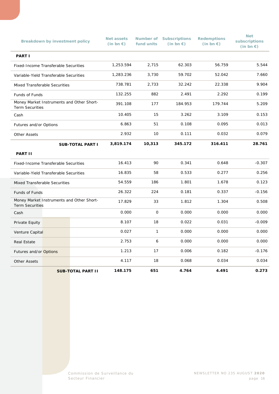|                                             | Breakdown by investment policy |                                           | <b>Net assets</b><br>$(in bn \in)$ | Number of<br>fund units | <b>Subscriptions</b><br>(in bn $\epsilon$ ) | <b>Redemptions</b><br>(in bn $\epsilon$ ) | <b>Net</b><br>subscriptions<br>(in bn $\epsilon$ ) |
|---------------------------------------------|--------------------------------|-------------------------------------------|------------------------------------|-------------------------|---------------------------------------------|-------------------------------------------|----------------------------------------------------|
| <b>PART I</b>                               |                                |                                           |                                    |                         |                                             |                                           |                                                    |
| <b>Fixed-Income Transferable Securities</b> |                                | 1,253.594                                 | 2,715                              | 62.303                  | 56.759                                      | 5.544                                     |                                                    |
| Variable-Yield Transferable Securities      |                                |                                           | 1,283.236                          | 3,730                   | 59.702                                      | 52.042                                    | 7.660                                              |
| Mixed Transferable Securities               |                                |                                           | 738.781                            | 2,733                   | 32.242                                      | 22.338                                    | 9.904                                              |
| Funds of Funds                              |                                |                                           | 132.255                            | 882                     | 2.491                                       | 2.292                                     | 0.199                                              |
| <b>Term Securities</b>                      |                                | Money Market Instruments and Other Short- | 391.108                            | 177                     | 184.953                                     | 179.744                                   | 5.209                                              |
| Cash                                        |                                |                                           | 10.405                             | 15                      | 3.262                                       | 3.109                                     | 0.153                                              |
| Futures and/or Options                      |                                |                                           | 6.863                              | 51                      | 0.108                                       | 0.095                                     | 0.013                                              |
| <b>Other Assets</b>                         |                                |                                           | 2.932                              | 10                      | 0.111                                       | 0.032                                     | 0.079                                              |
|                                             |                                | <b>SUB-TOTAL PART I</b>                   | 3,819.174                          | 10,313                  | 345.172                                     | 316.411                                   | 28.761                                             |
| <b>PART II</b>                              |                                |                                           |                                    |                         |                                             |                                           |                                                    |
| <b>Fixed-Income Transferable Securities</b> |                                |                                           | 16.413                             | 90                      | 0.341                                       | 0.648                                     | $-0.307$                                           |
| Variable-Yield Transferable Securities      |                                |                                           | 16.835                             | 58                      | 0.533                                       | 0.277                                     | 0.256                                              |
| Mixed Transferable Securities               |                                |                                           | 54.559                             | 186                     | 1.801                                       | 1.678                                     | 0.123                                              |
| Funds of Funds                              |                                |                                           | 26.322                             | 224                     | 0.181                                       | 0.337                                     | $-0.156$                                           |
| <b>Term Securities</b>                      |                                | Money Market Instruments and Other Short- | 17.829                             | 33                      | 1.812                                       | 1.304                                     | 0.508                                              |
| Cash                                        |                                |                                           | 0.000                              | $\mathsf O$             | 0.000                                       | 0.000                                     | 0.000                                              |
| Private Equity                              |                                |                                           | 8.107                              | 18                      | 0.022                                       | 0.031                                     | $-0.009$                                           |
| Venture Capital                             |                                |                                           | 0.027                              | $\mathbf{1}$            | 0.000                                       | 0.000                                     | 0.000                                              |
| <b>Real Estate</b>                          |                                |                                           | 2.753                              | 6                       | 0.000                                       | 0.000                                     | 0.000                                              |
| Futures and/or Options                      |                                |                                           | 1.213                              | 17                      | 0.006                                       | 0.182                                     | $-0.176$                                           |
| <b>Other Assets</b>                         |                                |                                           | 4.117                              | 18                      | 0.068                                       | 0.034                                     | 0.034                                              |
|                                             |                                | <b>SUB-TOTAL PART II</b>                  | 148.175                            | 651                     | 4.764                                       | 4.491                                     | 0.273                                              |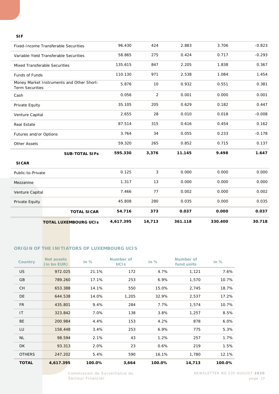#### **SIF**

|                        | <b>TOTAL LUXEMBOURG UCIS</b>                | 4,617.395 | 14,713                    | 361.118 | 330.400 | 30.718   |
|------------------------|---------------------------------------------|-----------|---------------------------|---------|---------|----------|
|                        | <b>TOTAL SICAR</b>                          | 54.716    | 373                       | 0.037   | 0.000   | 0.037    |
| Private Equity         |                                             | 45.808    | 280                       | 0.035   | 0.000   | 0.035    |
| Venture Capital        |                                             | 7.466     | 77                        | 0.002   | 0.000   | 0.002    |
| Mezzanine              |                                             | 1.317     | 13                        | 0.000   | 0.000   | 0.000    |
| Public-to-Private      |                                             | 0.125     | $\ensuremath{\mathsf{3}}$ | 0.000   | 0.000   | 0.000    |
| <b>SICAR</b>           |                                             |           |                           |         |         |          |
|                        | <b>SUB-TOTAL SIFs</b>                       | 595.330   | 3,376                     | 11.145  | 9.498   | 1.647    |
| <b>Other Assets</b>    |                                             | 59.320    | 265                       | 0.852   | 0.715   | 0.137    |
| Futures and/or Options |                                             | 3.764     | 34                        | 0.055   | 0.233   | $-0.178$ |
| <b>Real Estate</b>     |                                             | 87.514    | 315                       | 0.616   | 0.454   | 0.162    |
| Venture Capital        |                                             | 2.655     | 28                        | 0.010   | 0.018   | $-0.008$ |
| Private Equity         |                                             | 35.105    | 205                       | 0.629   | 0.182   | 0.447    |
| Cash                   |                                             | 0.056     | 2                         | 0.001   | 0.000   | 0.001    |
| <b>Term Securities</b> | Money Market Instruments and Other Short-   | 5.876     | 10                        | 0.932   | 0.551   | 0.381    |
| Funds of Funds         |                                             | 110.130   | 971                       | 2.538   | 1.084   | 1.454    |
|                        | Mixed Transferable Securities               | 135.615   | 847                       | 2.205   | 1.838   | 0.367    |
|                        | Variable-Yield Transferable Securities      | 58.865    | 275                       | 0.424   | 0.717   | $-0.293$ |
|                        | <b>Fixed-Income Transferable Securities</b> | 96.430    | 424                       | 2.883   | 3.706   | $-0.823$ |
|                        |                                             |           |                           |         |         |          |

#### **ORIGIN OF THE INITIATORS OF LUXEMBOURG UCIS**

| <b>Country</b> | <b>Net assets</b><br>(in bn EUR) | in $%$ | Number of<br><b>UCIS</b> | in $%$ | Number of<br>fund units | in $%$ |
|----------------|----------------------------------|--------|--------------------------|--------|-------------------------|--------|
| <b>US</b>      | 972.025                          | 21.1%  | 172                      | 4.7%   | 1,121                   | 7.6%   |
| <b>GB</b>      | 789.260                          | 17.1%  | 253                      | 6.9%   | 1,570                   | 10.7%  |
| <b>CH</b>      | 653.388                          | 14.1%  | 550                      | 15.0%  | 2,745                   | 18.7%  |
| DE             | 644.538                          | 14.0%  | 1,205                    | 32.9%  | 2,537                   | 17.2%  |
| <b>FR</b>      | 435.801                          | 9.4%   | 284                      | 7.7%   | 1,574                   | 10.7%  |
| IT             | 323.842                          | 7.0%   | 138                      | 3.8%   | 1,257                   | 8.5%   |
| <b>BE</b>      | 200.984                          | 4.4%   | 153                      | 4.2%   | 878                     | 6.0%   |
| LU             | 158.448                          | 3.4%   | 253                      | 6.9%   | 775                     | 5.3%   |
| <b>NL</b>      | 98.594                           | 2.1%   | 43                       | 1.2%   | 257                     | 1.7%   |
| DK             | 93.313                           | 2.0%   | 23                       | 0.6%   | 219                     | 1.5%   |
| <b>OTHERS</b>  | 247.202                          | 5.4%   | 590                      | 16.1%  | 1,780                   | 12.1%  |
| <b>TOTAL</b>   | 4,617.395                        | 100.0% | 3,664                    | 100.0% | 14,713                  | 100.0% |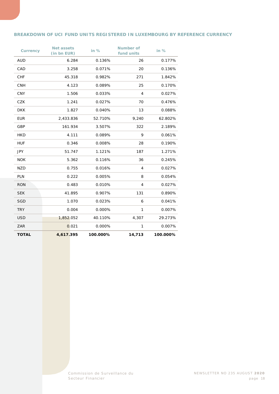#### **BREAKDOWN OF UCI FUND UNITS REGISTERED IN LUXEMBOURG BY REFERENCE CURRENCY**

| <b>Currency</b> | <b>Net assets</b><br>(in bn EUR) | in %     | <b>Number of</b><br>fund units | in %     |
|-----------------|----------------------------------|----------|--------------------------------|----------|
| <b>AUD</b>      | 6.284                            | 0.136%   | 26                             | 0.177%   |
| CAD             | 3.258                            | 0.071%   | 20                             | 0.136%   |
| <b>CHF</b>      | 45.318                           | 0.982%   | 271                            | 1.842%   |
| <b>CNH</b>      | 4.123                            | 0.089%   | 25                             | 0.170%   |
| <b>CNY</b>      | 1.506                            | 0.033%   | $\overline{4}$                 | 0.027%   |
| <b>CZK</b>      | 1.241                            | 0.027%   | 70                             | 0.476%   |
| <b>DKK</b>      | 1.827                            | 0.040%   | 13                             | 0.088%   |
| <b>EUR</b>      | 2,433.836                        | 52.710%  | 9,240                          | 62.802%  |
| GBP             | 161.934                          | 3.507%   | 322                            | 2.189%   |
| <b>HKD</b>      | 4.111                            | 0.089%   | 9                              | 0.061%   |
| <b>HUF</b>      | 0.346                            | 0.008%   | 28                             | 0.190%   |
| <b>JPY</b>      | 51.747                           | 1.121%   | 187                            | 1.271%   |
| <b>NOK</b>      | 5.362                            | 0.116%   | 36                             | 0.245%   |
| <b>NZD</b>      | 0.755                            | 0.016%   | $\overline{4}$                 | 0.027%   |
| <b>PLN</b>      | 0.222                            | 0.005%   | 8                              | 0.054%   |
| <b>RON</b>      | 0.483                            | 0.010%   | $\overline{4}$                 | 0.027%   |
| <b>SEK</b>      | 41.895                           | 0.907%   | 131                            | 0.890%   |
| <b>SGD</b>      | 1.070                            | 0.023%   | 6                              | 0.041%   |
| <b>TRY</b>      | 0.004                            | 0.000%   | 1                              | 0.007%   |
| <b>USD</b>      | 1,852.052                        | 40.110%  | 4,307                          | 29.273%  |
| ZAR             | 0.021                            | 0.000%   | $\mathbf{1}$                   | 0.007%   |
| <b>TOTAL</b>    | 4,617.395                        | 100.000% | 14,713                         | 100.000% |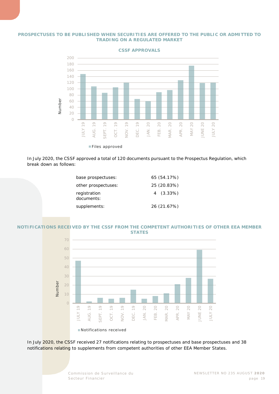#### **PROSPECTUSES TO BE PUBLISHED WHEN SECURITIES ARE OFFERED TO THE PUBLIC OR ADMITTED TO TRADING ON A REGULATED MARKET**



**CSSF APPROVALS**

Files approved

In July 2020, the CSSF approved a total of 120 documents pursuant to the Prospectus Regulation, which break down as follows:

| base prospectuses:         | 65 (54.17%) |
|----------------------------|-------------|
| other prospectuses:        | 25 (20.83%) |
| registration<br>documents: | $4(3.33\%)$ |
| supplements:               | 26 (21.67%) |

#### **NOTIFICATIONS RECEIVED BY THE CSSF FROM THE COMPETENT AUTHORITIES OF OTHER EEA MEMBER STATES**



In July 2020, the CSSF received 27 notifications relating to prospectuses and base prospectuses and 38 notifications relating to supplements from competent authorities of other EEA Member States.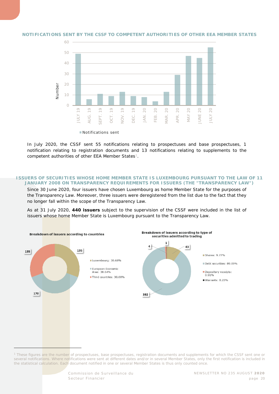

#### **NOTIFICATIONS SENT BY THE CSSF TO COMPETENT AUTHORITIES OF OTHER EEA MEMBER STATES**

In July 2020, the CSSF sent 55 notifications relating to prospectuses and base prospectuses, 1 notification relating to registration documents and 13 notifications relating to supplements to the competent authorities of other EEA Member States<sup>1</sup>.

#### **ISSUERS OF SECURITIES WHOSE HOME MEMBER STATE IS LUXEMBOURG PURSUANT TO THE LAW OF 11 JANUARY 2008 ON TRANSPARENCY REQUIREMENTS FOR ISSUERS (THE "TRANSPARENCY LAW")**

Since 30 June 2020, four issuers have chosen Luxembourg as home Member State for the purposes of the Transparency Law. Moreover, three issuers were deregistered from the list due to the fact that they no longer fall within the scope of the Transparency Law.

As at 31 July 2020, **440 issuers** subject to the supervision of the CSSF were included in the list of issuers whose home Member State is Luxembourg pursuant to the Transparency Law.



<span id="page-19-0"></span><sup>1</sup> *These figures are the number of prospectuses, base prospectuses, registration documents and supplements for which the CSSF sent one or several notifications. Where notifications were sent at different dates and/or in several Member States, only the first notification is included in the statistical calculation. Each document notified in one or several Member States is thus only counted once.*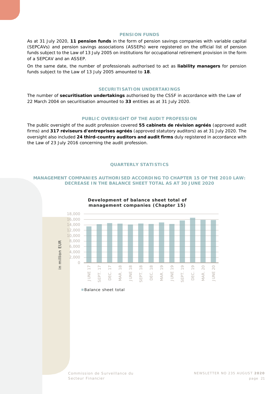#### **PENSION FUNDS**

As at 31 July 2020, **11 pension funds** in the form of pension savings companies with variable capital (SEPCAVs) and pension savings associations (ASSEPs) were registered on the official list of pension funds subject to the Law of 13 July 2005 on institutions for occupational retirement provision in the form of a SEPCAV and an ASSEP.

On the same date, the number of professionals authorised to act as **liability managers** for pension funds subject to the Law of 13 July 2005 amounted to **18**.

#### **SECURITISATION UNDERTAKINGS**

The number of **securitisation undertakings** authorised by the CSSF in accordance with the Law of 22 March 2004 on securitisation amounted to **33** entities as at 31 July 2020.

#### **PUBLIC OVERSIGHT OF THE AUDIT PROFESSION**

The public oversight of the audit profession covered **55** *cabinets de révision agréés* (approved audit firms) and **317** *réviseurs d'entreprises agréés* (approved statutory auditors) as at 31 July 2020. The oversight also included **24 third-country auditors and audit firms** duly registered in accordance with the Law of 23 July 2016 concerning the audit profession.

#### **QUARTERLY STATISTICS**

#### <span id="page-20-0"></span>**MANAGEMENT COMPANIES AUTHORISED ACCORDING TO CHAPTER 15 OF THE 2010 LAW: DECREASE IN THE BALANCE SHEET TOTAL AS AT 30 JUNE 2020**



#### **Development of balance sheet total of management companies (Chapter 15)**

Balance sheet total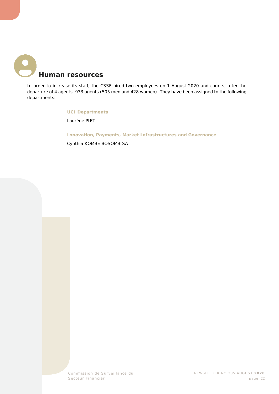<span id="page-21-0"></span>

In order to increase its staff, the CSSF hired two employees on 1 August 2020 and counts, after the departure of 4 agents, 933 agents (505 men and 428 women). They have been assigned to the following departments:

#### **UCI Departments**

Laurène PIET

**Innovation, Payments, Market Infrastructures and Governance**

Cynthia KOMBE BOSOMBISA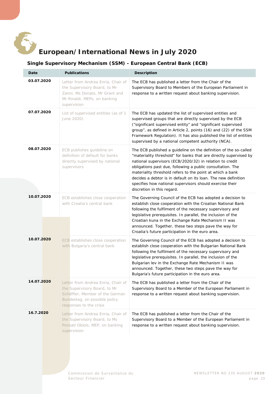<span id="page-22-0"></span>

## **European/International News in July 2020**

#### **Single Supervisory Mechanism (SSM) - European Central Bank (ECB)**

<span id="page-22-1"></span>

| Date       | <b>Publications</b>                                                                                                                                               | <b>Description</b>                                                                                                                                                                                                                                                                                                                                                                                                                                                                       |
|------------|-------------------------------------------------------------------------------------------------------------------------------------------------------------------|------------------------------------------------------------------------------------------------------------------------------------------------------------------------------------------------------------------------------------------------------------------------------------------------------------------------------------------------------------------------------------------------------------------------------------------------------------------------------------------|
| 03.07.2020 | Letter from Andrea Enria, Chair of<br>the Supervisory Board, to Mr<br>Zanni, Ms Donato, Mr Grant and<br>Mr Rinaldi, MEPs, on banking<br>supervision               | The ECB has published a letter from the Chair of the<br>Supervisory Board to Members of the European Parliament in<br>response to a written request about banking supervision.                                                                                                                                                                                                                                                                                                           |
| 07.07.2020 | List of supervised entities (as of 1<br>June 2020)                                                                                                                | The ECB has updated the list of supervised entities and<br>supervised groups that are directly supervised by the ECB<br>("significant supervised entity" and "significant supervised<br>group", as defined in Article 2, points (16) and (22) of the SSM<br>Framework Regulation). It has also published the list of entities<br>supervised by a national competent authority (NCA).                                                                                                     |
| 08.07.2020 | ECB publishes guideline on<br>definition of default for banks<br>directly supervised by national<br>supervisors                                                   | The ECB published a guideline on the definition of the so-called<br>"materiality threshold" for banks that are directly supervised by<br>national supervisors (ECB/2020/32) in relation to credit<br>obligations past due, following a public consultation. The<br>materiality threshold refers to the point at which a bank<br>decides a debtor is in default on its loan. The new definition<br>specifies how national supervisors should exercise their<br>discretion in this regard. |
| 10.07.2020 | ECB establishes close cooperation<br>with Croatia's central bank                                                                                                  | The Governing Council of the ECB has adopted a decision to<br>establish close cooperation with the Croatian National Bank<br>following the fulfilment of the necessary supervisory and<br>legislative prerequisites. In parallel, the inclusion of the<br>Croatian kuna in the Exchange Rate Mechanism II was<br>announced. Together, these two steps pave the way for<br>Croatia's future participation in the euro area.                                                               |
| 10.07.2020 | ECB establishes close cooperation<br>with Bulgaria's central bank                                                                                                 | The Governing Council of the ECB has adopted a decision to<br>establish close cooperation with the Bulgarian National Bank<br>following the fulfilment of the necessary supervisory and<br>legislative prerequisites. In parallel, the inclusion of the<br>Bulgarian lev in the Exchange Rate Mechanism II was<br>announced. Together, these two steps pave the way for<br>Bulgaria's future participation in the euro area.                                                             |
| 14.07.2020 | Letter from Andrea Enria, Chair of<br>the Supervisory Board, to Mr<br>Schäffler, Member of the German<br>Bundestag, on possible policy<br>responses to the crisis | The ECB has published a letter from the Chair of the<br>Supervisory Board to a Member of the European Parliament in<br>response to a written request about banking supervision.                                                                                                                                                                                                                                                                                                          |
| 16.7.2020  | Letter from Andrea Enria, Chair of<br>the Supervisory Board, to Ms<br>Ponsatí Obiols, MEP, on banking<br>supervision                                              | The ECB has published a letter from the Chair of the<br>Supervisory Board to a Member of the European Parliament in<br>response to a written request about banking supervision.                                                                                                                                                                                                                                                                                                          |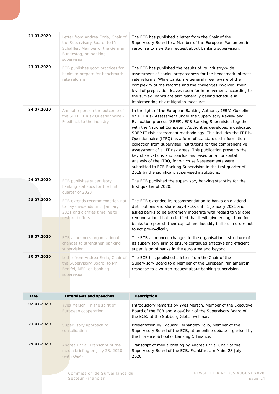| 21.07.2020 | Letter from Andrea Enria, Chair of<br>the Supervisory Board, to Mr<br>Schäffler, Member of the German<br>Bundestag, on banking<br>supervision | The ECB has published a letter from the Chair of the<br>Supervisory Board to a Member of the European Parliament in<br>response to a written request about banking supervision.                                                                                                                                                                                                                                                                                                                                                                                                                                                                                                                                                                                      |
|------------|-----------------------------------------------------------------------------------------------------------------------------------------------|----------------------------------------------------------------------------------------------------------------------------------------------------------------------------------------------------------------------------------------------------------------------------------------------------------------------------------------------------------------------------------------------------------------------------------------------------------------------------------------------------------------------------------------------------------------------------------------------------------------------------------------------------------------------------------------------------------------------------------------------------------------------|
| 23.07.2020 | ECB publishes good practices for<br>banks to prepare for benchmark<br>rate reforms                                                            | The ECB has published the results of its industry-wide<br>assessment of banks' preparedness for the benchmark interest<br>rate reforms. While banks are generally well aware of the<br>complexity of the reforms and the challenges involved, their<br>level of preparation leaves room for improvement, according to<br>the survey. Banks are also generally behind schedule in<br>implementing risk mitigation measures.                                                                                                                                                                                                                                                                                                                                           |
| 24.07.2020 | Annual report on the outcome of<br>the SREP IT Risk Questionnaire -<br>Feedback to the industry                                               | In the light of the European Banking Authority (EBA) Guidelines<br>on ICT Risk Assessment under the Supervisory Review and<br>Evaluation process (SREP), ECB Banking Supervision together<br>with the National Competent Authorities developed a dedicated<br>SREP IT risk assessment methodology. This includes the IT Risk<br>Questionnaire (ITRQ) as a form of standardised information<br>collection from supervised institutions for the comprehensive<br>assessment of all IT risk areas. This publication presents the<br>key observations and conclusions based on a horizontal<br>analysis of the ITRQ, for which self-assessments were<br>submitted to ECB Banking Supervision in the first quarter of<br>2019 by the significant supervised institutions. |
| 24.07.2020 | ECB publishes supervisory<br>banking statistics for the first<br>quarter of 2020                                                              | The ECB published the supervisory banking statistics for the<br>first quarter of 2020.                                                                                                                                                                                                                                                                                                                                                                                                                                                                                                                                                                                                                                                                               |
| 28.07.2020 | ECB extends recommendation not<br>to pay dividends until January<br>2021 and clarifies timeline to<br>restore buffers                         | The ECB extended its recommendation to banks on dividend<br>distributions and share buy-backs until 1 January 2021 and<br>asked banks to be extremely moderate with regard to variable<br>remuneration. It also clarified that it will give enough time for<br>banks to replenish their capital and liquidity buffers in order not<br>to act pro-cyclically.                                                                                                                                                                                                                                                                                                                                                                                                         |
| 29.07.2020 | ECB announces organisational<br>changes to strengthen banking<br>supervision                                                                  | The ECB announced changes to the organisational structure of<br>its supervisory arm to ensure continued effective and efficient<br>supervision of banks in the euro area and beyond.                                                                                                                                                                                                                                                                                                                                                                                                                                                                                                                                                                                 |
| 30.07.2020 | Letter from Andrea Enria, Chair of<br>the Supervisory Board, to Mr<br>Benifei, MEP, on banking<br>supervision                                 | The ECB has published a letter from the Chair of the<br>Supervisory Board to a Member of the European Parliament in<br>response to a written request about banking supervision.                                                                                                                                                                                                                                                                                                                                                                                                                                                                                                                                                                                      |
| Date       | <b>Interviews and speeches</b>                                                                                                                | <b>Description</b>                                                                                                                                                                                                                                                                                                                                                                                                                                                                                                                                                                                                                                                                                                                                                   |
| 02.07.2020 | Yves Mersch: In the spirit of<br>European cooperation                                                                                         | Introductory remarks by Yves Mersch, Member of the Executive<br>Board of the ECB and Vice-Chair of the Supervisory Board of<br>the ECB, at the Salzburg Global webinar.                                                                                                                                                                                                                                                                                                                                                                                                                                                                                                                                                                                              |
| 21.07.2020 | Supervisory approach to<br>consolidation                                                                                                      | Presentation by Edouard Fernandez-Bollo, Member of the<br>Supervisory Board of the ECB, at an online debate organised by<br>the Florence School of Banking & Finance.                                                                                                                                                                                                                                                                                                                                                                                                                                                                                                                                                                                                |
| 29.07.2020 | Andrea Enria: Transcript of the<br>media briefing on July 28, 2020<br>(with Q&A)                                                              | Transcript of media briefing by Andrea Enria, Chair of the<br>Supervisory Board of the ECB, Frankfurt am Main, 28 July<br>2020.                                                                                                                                                                                                                                                                                                                                                                                                                                                                                                                                                                                                                                      |
|            |                                                                                                                                               |                                                                                                                                                                                                                                                                                                                                                                                                                                                                                                                                                                                                                                                                                                                                                                      |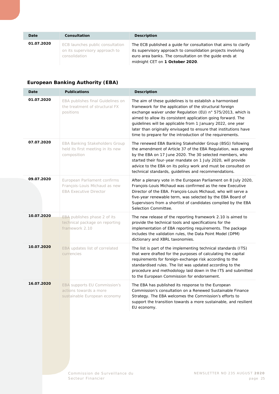| Date       | <b>Consultation</b>                                                                 | <b>Description</b>                                                                                                                                                                                                           |
|------------|-------------------------------------------------------------------------------------|------------------------------------------------------------------------------------------------------------------------------------------------------------------------------------------------------------------------------|
| 01.07.2020 | ECB launches public consultation<br>on its supervisory approach to<br>consolidation | The ECB published a quide for consultation that aims to clarify<br>its supervisory approach to consolidation projects involving<br>euro area banks. The consultation on the quide ends at<br>midnight CET on 1 October 2020. |

#### <span id="page-24-0"></span>**European Banking Authority (EBA)**

| Date       | <b>Publications</b>                                                                            | <b>Description</b>                                                                                                                                                                                                                                                                                                                                                                                                                                 |
|------------|------------------------------------------------------------------------------------------------|----------------------------------------------------------------------------------------------------------------------------------------------------------------------------------------------------------------------------------------------------------------------------------------------------------------------------------------------------------------------------------------------------------------------------------------------------|
| 01.07.2020 | EBA publishes final Guidelines on<br>the treatment of structural FX<br>positions               | The aim of these guidelines is to establish a harmonised<br>framework for the application of the structural foreign<br>exchange waiver under Regulation (EU) n° 575/2013, which is<br>aimed to allow its consistent application going forward. The<br>quidelines will be applicable from 1 January 2022, one year<br>later than originally envisaged to ensure that institutions have<br>time to prepare for the introduction of the requirements. |
| 07.07.2020 | <b>EBA Banking Stakeholders Group</b><br>held its first meeting in its new<br>composition      | The renewed EBA Banking Stakeholder Group (BSG) following<br>the amendment of Article 37 of the EBA Regulation, was agreed<br>by the EBA on 17 June 2020. The 30 selected members, who<br>started their four-year mandate on 1 July 2020, will provide<br>advice to the EBA on its policy work and must be consulted on<br>technical standards, guidelines and recommendations.                                                                    |
| 09.07.2020 | European Parliament confirms<br>François-Louis Michaud as new<br><b>EBA Executive Director</b> | After a plenary vote in the European Parliament on 8 July 2020,<br>François-Louis Michaud was confirmed as the new Executive<br>Director of the EBA. François-Louis Michaud, who will serve a<br>five-year renewable term, was selected by the EBA Board of<br>Supervisors from a shortlist of candidates compiled by the EBA<br>Selection Committee.                                                                                              |
| 10.07.2020 | EBA publishes phase 2 of its<br>technical package on reporting<br>framework 2.10               | The new release of the reporting framework 2.10 is aimed to<br>provide the technical tools and specifications for the<br>implementation of EBA reporting requirements. The package<br>includes the validation rules, the Data Point Model (DPM)<br>dictionary and XBRL taxonomies.                                                                                                                                                                 |
| 10.07.2020 | EBA updates list of correlated<br>currencies                                                   | The list is part of the implementing technical standards (ITS)<br>that were drafted for the purposes of calculating the capital<br>requirements for foreign-exchange risk according to the<br>standardised rules. The list was updated according to the<br>procedure and methodology laid down in the ITS and submitted<br>to the European Commission for endorsement.                                                                             |
| 16.07.2020 | <b>EBA</b> supports EU Commission's<br>actions towards a more<br>sustainable European economy  | The EBA has published its response to the European<br>Commission's consultation on a Renewed Sustainable Finance<br>Strategy. The EBA welcomes the Commission's efforts to<br>support the transition towards a more sustainable, and resilient<br>EU economy.                                                                                                                                                                                      |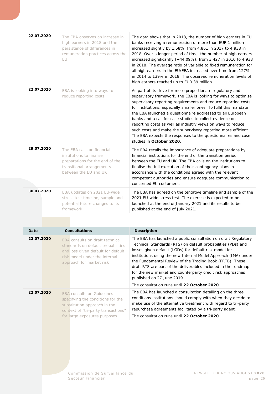| 22.07.2020 | The EBA observes an increase in<br>high earners in 2018 and the<br>persistence of differences in<br>remuneration practices across the<br>EU.                                    | The data shows that in 2018, the number of high earners in EU<br>banks receiving a remuneration of more than EUR 1 million<br>increased slightly by 1.58%, from 4,861 in 2017 to 4,938 in<br>2018. Over a longer period of time, the number of high earners<br>increased significantly (+44.09%), from 3,427 in 2010 to 4,938<br>in 2018. The average ratio of variable to fixed remuneration for<br>all high earners in the EU/EEA increased over time from 127%<br>in 2014 to 139% in 2018. The observed remuneration levels of<br>high earners reached up to EUR 39 million.                                          |
|------------|---------------------------------------------------------------------------------------------------------------------------------------------------------------------------------|--------------------------------------------------------------------------------------------------------------------------------------------------------------------------------------------------------------------------------------------------------------------------------------------------------------------------------------------------------------------------------------------------------------------------------------------------------------------------------------------------------------------------------------------------------------------------------------------------------------------------|
| 22.07.2020 | EBA is looking into ways to<br>reduce reporting costs                                                                                                                           | As part of its drive for more proportionate regulatory and<br>supervisory framework, the EBA is looking for ways to optimise<br>supervisory reporting requirements and reduce reporting costs<br>for institutions, especially smaller ones. To fulfil this mandate<br>the EBA launched a questionnaire addressed to all European<br>banks and a call for case studies to collect evidence on<br>reporting costs as well as industry views on ways to reduce<br>such costs and make the supervisory reporting more efficient.<br>The EBA expects the responses to the questionnaires and case<br>studies in October 2020. |
| 29.07.2020 | The EBA calls on financial<br>institutions to finalise<br>preparations for the end of the<br>transitional arrangements<br>between the EU and UK                                 | The EBA recalls the importance of adequate preparations by<br>financial institutions for the end of the transition period<br>between the EU and UK. The EBA calls on the institutions to<br>finalise the full execution of their contingency plans in<br>accordance with the conditions agreed with the relevant<br>competent authorities and ensure adequate communication to<br>concerned EU customers.                                                                                                                                                                                                                |
| 30.07.2020 | EBA updates on 2021 EU-wide<br>stress test timeline, sample and<br>potential future changes to its<br>framework                                                                 | The EBA has agreed on the tentative timeline and sample of the<br>2021 EU-wide stress test. The exercise is expected to be<br>launched at the end of January 2021 and its results to be<br>published at the end of July 2021.                                                                                                                                                                                                                                                                                                                                                                                            |
| Date       | <b>Consultations</b>                                                                                                                                                            |                                                                                                                                                                                                                                                                                                                                                                                                                                                                                                                                                                                                                          |
|            |                                                                                                                                                                                 | <b>Description</b>                                                                                                                                                                                                                                                                                                                                                                                                                                                                                                                                                                                                       |
| 22.07.2020 | <b>EBA</b> consults on draft technical<br>standards on default probabilities<br>and loss given default for default<br>risk model under the internal<br>approach for market risk | The EBA has launched a public consultation on draft Regulatory<br>Technical Standards (RTS) on default probabilities (PDs) and<br>losses given default (LGDs) for default risk model for<br>institutions using the new Internal Model Approach (IMA) under<br>the Fundamental Review of the Trading Book (FRTB). These<br>draft RTS are part of the deliverables included in the roadmap<br>for the new market and counterparty credit risk approaches<br>published on 27 June 2019.<br>The consultation runs until 22 October 2020.                                                                                     |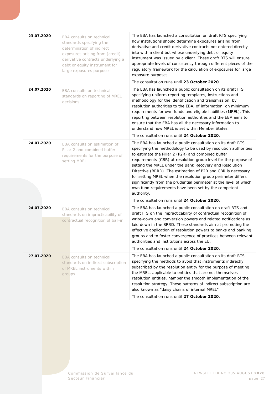| 23.07.2020 | EBA consults on technical<br>standards specifying the<br>determination of indirect<br>exposures arising from (credit)<br>derivative contracts underlying a<br>debt or equity instrument for<br>large exposures purposes | The EBA has launched a consultation on draft RTS specifying<br>how institutions should determine exposures arising from<br>derivative and credit derivative contracts not entered directly<br>into with a client but whose underlying debt or equity<br>instrument was issued by a client. These draft RTS will ensure<br>appropriate levels of consistency through different pieces of the<br>regulatory framework for the calculation of exposures for large<br>exposure purposes.<br>The consultation runs until 23 October 2020.                                                                                                          |
|------------|-------------------------------------------------------------------------------------------------------------------------------------------------------------------------------------------------------------------------|-----------------------------------------------------------------------------------------------------------------------------------------------------------------------------------------------------------------------------------------------------------------------------------------------------------------------------------------------------------------------------------------------------------------------------------------------------------------------------------------------------------------------------------------------------------------------------------------------------------------------------------------------|
| 24.07.2020 | EBA consults on technical<br>standards on reporting of MREL<br>decisions                                                                                                                                                | The EBA has launched a public consultation on its draft ITS<br>specifying uniform reporting templates, instructions and<br>methodology for the identification and transmission, by<br>resolution authorities to the EBA, of information on minimum<br>requirements for own funds and eligible liabilities (MREL). This<br>reporting between resolution authorities and the EBA aims to<br>ensure that the EBA has all the necessary information to<br>understand how MREL is set within Member States.<br>The consultation runs until 24 October 2020.                                                                                        |
| 24.07.2020 | EBA consults on estimation of<br>Pillar 2 and combined buffer<br>requirements for the purpose of<br>setting MREL                                                                                                        | The EBA has launched a public consultation on its draft RTS<br>specifying the methodology to be used by resolution authorities<br>to estimate the Pillar 2 (P2R) and combined buffer<br>requirements (CBR) at resolution group level for the purpose of<br>setting the MREL under the Bank Recovery and Resolution<br>Directive (BRRD). The estimation of P2R and CBR is necessary<br>for setting MREL when the resolution group perimeter differs<br>significantly from the prudential perimeter at the level of which<br>own fund requirements have been set by the competent<br>authority.<br>The consultation runs until 24 October 2020. |
| 24.07.2020 | EBA consults on technical<br>standards on impracticability of<br>contractual recognition of bail-in                                                                                                                     | The EBA has launched a public consultation on draft RTS and<br>draft ITS on the impracticability of contractual recognition of<br>write-down and conversion powers and related notifications as<br>laid down in the BRRD. These standards aim at promoting the<br>effective application of resolution powers to banks and banking<br>groups and to foster convergence of practices between relevant<br>authorities and institutions across the EU.<br>The consultation runs until 24 October 2020.                                                                                                                                            |
| 27.07.2020 | EBA consults on technical<br>standards on indirect subscription<br>of MREL instruments within<br>groups                                                                                                                 | The EBA has launched a public consultation on its draft RTS<br>specifying the methods to avoid that instruments indirectly<br>subscribed by the resolution entity for the purpose of meeting<br>the MREL, applicable to entities that are not themselves<br>resolution entities, hamper the smooth implementation of the<br>resolution strategy. These patterns of indirect subscription are<br>also known as "daisy chains of internal MREL".<br>The consultation runs until 27 October 2020.                                                                                                                                                |
|            |                                                                                                                                                                                                                         |                                                                                                                                                                                                                                                                                                                                                                                                                                                                                                                                                                                                                                               |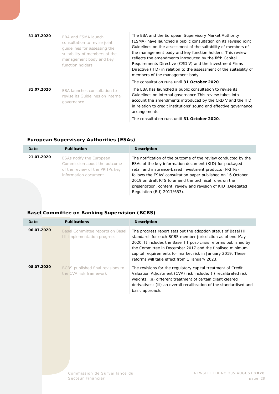| 31.07.2020 | EBA and ESMA launch<br>consultation to revise joint<br>quidelines for assessing the<br>suitability of members of the<br>management body and key<br>function holders | The EBA and the European Supervisory Market Authority<br>(ESMA) have launched a public consultation on its revised joint<br>Guidelines on the assessment of the suitability of members of<br>the management body and key function holders. This review<br>reflects the amendments introduced by the fifth Capital<br>Requirements Directive (CRD V) and the Investment Firms<br>Directive (IFD) in relation to the assessment of the suitability of<br>members of the management body.<br>The consultation runs until 31 October 2020. |
|------------|---------------------------------------------------------------------------------------------------------------------------------------------------------------------|----------------------------------------------------------------------------------------------------------------------------------------------------------------------------------------------------------------------------------------------------------------------------------------------------------------------------------------------------------------------------------------------------------------------------------------------------------------------------------------------------------------------------------------|
| 31.07.2020 | EBA launches consultation to<br>revise its Guidelines on internal<br>governance                                                                                     | The EBA has launched a public consultation to revise its<br>Guidelines on internal governance This review takes into<br>account the amendments introduced by the CRD V and the IFD<br>in relation to credit institutions' sound and effective governance<br>arrangements.<br>The consultation runs until 31 October 2020.                                                                                                                                                                                                              |

#### <span id="page-27-0"></span>**European Supervisory Authorities (ESAs)**

| Date       | <b>Publication</b>                                                                                                         | <b>Description</b>                                                                                                                                                                                                                                                                                                                                                                                          |
|------------|----------------------------------------------------------------------------------------------------------------------------|-------------------------------------------------------------------------------------------------------------------------------------------------------------------------------------------------------------------------------------------------------------------------------------------------------------------------------------------------------------------------------------------------------------|
| 21.07.2020 | <b>ESAs notify the European</b><br>Commission about the outcome<br>of the review of the PRIIPs key<br>information document | The notification of the outcome of the review conducted by the<br>ESAs of the key information document (KID) for packaged<br>retail and insurance-based investment products (PRIIPs)<br>follows the ESAs' consultation paper published on 16 October<br>2019 on draft RTS to amend the technical rules on the<br>presentation, content, review and revision of KID (Delegated<br>Regulation (EU) 2017/653). |

#### <span id="page-27-1"></span>**Basel Committee on Banking Supervision (BCBS)**

| Date       | <b>Publications</b>                                             | <b>Description</b>                                                                                                                                                                                                                                                                                                                                                         |
|------------|-----------------------------------------------------------------|----------------------------------------------------------------------------------------------------------------------------------------------------------------------------------------------------------------------------------------------------------------------------------------------------------------------------------------------------------------------------|
| 06.07.2020 | Basel Committee reports on Basel<br>III implementation progress | The progress report sets out the adoption status of Basel III<br>standards for each BCBS member jurisdiction as of end-May<br>2020. It includes the Basel III post-crisis reforms published by<br>the Committee in December 2017 and the finalised minimum<br>capital requirements for market risk in January 2019. These<br>reforms will take effect from 1 January 2023. |
| 08.07.2020 | BCBS published final revisions to<br>the CVA risk framework     | The revisions for the regulatory capital treatment of Credit<br>Valuation Adjustment (CVA) risk include: (i) recalibrated risk<br>weights; (ii) different treatment of certain client cleared<br>derivatives; (iii) an overall recalibration of the standardised and<br>basic approach.                                                                                    |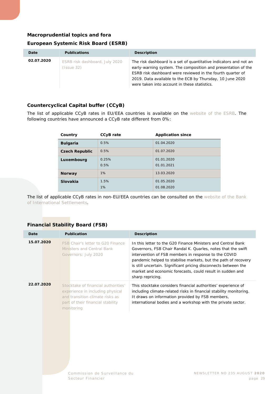#### <span id="page-28-0"></span>**Macroprudential topics and fora**

#### **European Systemic Risk Board (ESRB)**

| Date       | <b>Publications</b>                          | <b>Description</b>                                                                                                                                                                                                                                                                                            |
|------------|----------------------------------------------|---------------------------------------------------------------------------------------------------------------------------------------------------------------------------------------------------------------------------------------------------------------------------------------------------------------|
| 02.07.2020 | ESRB risk dashboard, July 2020<br>(Issue 32) | The risk dashboard is a set of quantitative indicators and not an<br>early-warning system. The composition and presentation of the<br>ESRB risk dashboard were reviewed in the fourth quarter of<br>2019. Data available to the ECB by Thursday, 10 June 2020<br>were taken into account in these statistics. |

#### **Countercyclical Capital buffer (CCyB)**

The list of applicable CCyB rates in EU/EEA countries is available on the [website of the ESRB.](https://www.esrb.europa.eu/national_policy/ccb/all_rates/html/index.en.html) The following countries have announced a CCyB rate different from 0%:

| Country               | CCyB rate     | <b>Application since</b> |
|-----------------------|---------------|--------------------------|
| <b>Bulgaria</b>       | 0.5%          | 01.04.2020               |
| <b>Czech Republic</b> | 0.5%          | 01.07.2020               |
| Luxembourg            | 0.25%<br>0.5% | 01.01.2020<br>01.01.2021 |
| <b>Norway</b>         | 1%            | 13.03.2020               |
| Slovakia              | 1.5%<br>1%    | 01.05.2020<br>01.08.2020 |

The list of applicable CCyB rates in non-EU/EEA countries can be consulted on the website of the Bank [of International Settlements.](https://www.bis.org/bcbs/ccyb/)

#### **Financial Stability Board (FSB)**

| Date       | Publication                                                                                                                                                   | <b>Description</b>                                                                                                                                                                                                                                                                                                                                                                                         |
|------------|---------------------------------------------------------------------------------------------------------------------------------------------------------------|------------------------------------------------------------------------------------------------------------------------------------------------------------------------------------------------------------------------------------------------------------------------------------------------------------------------------------------------------------------------------------------------------------|
| 15.07.2020 | FSB Chair's letter to G20 Finance<br>Ministers and Central Bank<br>Governors: July 2020                                                                       | In this letter to the G20 Finance Ministers and Central Bank<br>Governors, FSB Chair Randal K. Quarles, notes that the swift<br>intervention of FSB members in response to the COVID<br>pandemic helped to stabilise markets, but the path of recovery<br>is still uncertain. Significant pricing disconnects between the<br>market and economic forecasts, could result in sudden and<br>sharp repricing. |
| 22.07.2020 | Stocktake of financial authorities'<br>experience in including physical<br>and transition climate risks as<br>part of their financial stability<br>monitoring | This stocktake considers financial authorities' experience of<br>including climate-related risks in financial stability monitoring.<br>It draws on information provided by FSB members,<br>international bodies and a workshop with the private sector.                                                                                                                                                    |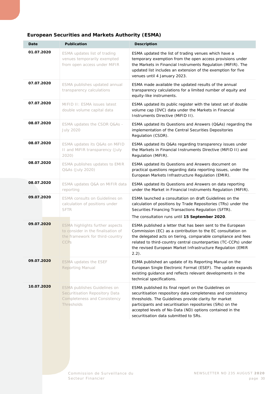<span id="page-29-0"></span>

| Date       | <b>Publication</b>                                                                                                             | <b>Description</b>                                                                                                                                                                                                                                                                                                                              |
|------------|--------------------------------------------------------------------------------------------------------------------------------|-------------------------------------------------------------------------------------------------------------------------------------------------------------------------------------------------------------------------------------------------------------------------------------------------------------------------------------------------|
| 01.07.2020 | ESMA updates list of trading<br>venues temporarily exempted<br>from open access under MiFIR                                    | ESMA updated the list of trading venues which have a<br>temporary exemption from the open access provisions under<br>the Markets in Financial Instruments Regulation (MiFIR). The<br>updated list includes an extension of the exemption for five<br>venues until 4 January 2023.                                                               |
| 07.07.2020 | ESMA publishes updated annual<br>transparency calculations                                                                     | ESMA made available the updated results of the annual<br>transparency calculations for a limited number of equity and<br>equity-like instruments.                                                                                                                                                                                               |
| 07.07.2020 | MIFID II: ESMA issues latest<br>double volume capital data                                                                     | ESMA updated its public register with the latest set of double<br>volume cap (DVC) data under the Markets in Financial<br>Instruments Directive (MiFID II).                                                                                                                                                                                     |
| 08.07.2020 | ESMA updates the CSDR Q&As -<br><b>July 2020</b>                                                                               | ESMA updated its Questions and Answers (Q&As) regarding the<br>implementation of the Central Securities Depositories<br>Regulation (CSDR).                                                                                                                                                                                                      |
| 08.07.2020 | ESMA updates its Q&As on MiFID<br>II and MiFIR transparency (July<br>2020)                                                     | ESMA updated its Q&As regarding transparency issues under<br>the Markets in Financial Instruments Directive (MiFID II) and<br>Regulation (MiFIR).                                                                                                                                                                                               |
| 08.07.2020 | ESMA publishes updates to EMIR<br>Q&As (July 2020)                                                                             | ESMA updated its Questions and Answers document on<br>practical questions regarding data reporting issues, under the<br>European Markets Infrastructure Regulation (EMIR).                                                                                                                                                                      |
| 08.07.2020 | ESMA updates Q&A on MIFIR data<br>reporting                                                                                    | ESMA updated its Questions and Answers on data reporting<br>under the Market in Financial Instruments Regulation (MiFIR).                                                                                                                                                                                                                       |
| 09.07.2020 | ESMA consults on Guidelines on<br>calculation of positions under<br><b>SFTR</b>                                                | ESMA launched a consultation on draft Guidelines on the<br>calculation of positions by Trade Repositories (TRs) under the<br>Securities Financing Transactions Regulation (SFTR).<br>The consultation runs until 15 September 2020.                                                                                                             |
| 09.07.2020 | <b>ESMA highlights further aspects</b><br>to consider in the finalisation of<br>the framework for third-country<br><b>CCPs</b> | ESMA published a letter that has been sent to the European<br>Commission (EC) as a contribution to the EC consultation on<br>the delegated acts on tiering, comparable compliance and fees<br>related to third-country central counterparties (TC-CCPs) under<br>the revised European Market Infrastructure Regulation (EMIR<br>$2.2$ ).        |
| 09.07.2020 | <b>ESMA updates the ESEF</b><br>Reporting Manual                                                                               | ESMA published an update of its Reporting Manual on the<br>European Single Electronic Format (ESEF). The update expands<br>existing guidance and reflects relevant developments in the<br>technical specifications.                                                                                                                             |
| 10.07.2020 | ESMA publishes Guidelines on<br>Securitisation Repository Data<br><b>Completeness and Consistency</b><br>Thresholds            | ESMA published its final report on the Guidelines on<br>securitisation respository data completeness and consistency<br>thresholds. The Guidelines provide clarity for market<br>participants and securitisation repositories (SRs) on the<br>accepted levels of No-Data (ND) options contained in the<br>securitisation data submitted to SRs. |

### **European Securities and Markets Authority (ESMA)**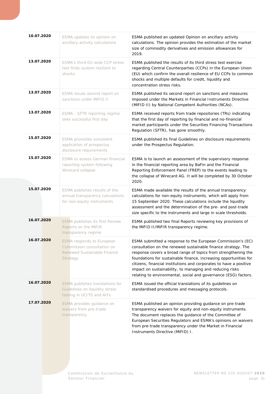| 10.07.2020        | ESMA updates its opinion on<br>ancillary activity calculations                                            | ESMA published an updated Opinion on ancillary activity<br>calculations. The opinion provides the estimation of the market<br>size of commodity derivatives and emission allowances for<br>2019.                                                                                                                                                                                                                                                                         |
|-------------------|-----------------------------------------------------------------------------------------------------------|--------------------------------------------------------------------------------------------------------------------------------------------------------------------------------------------------------------------------------------------------------------------------------------------------------------------------------------------------------------------------------------------------------------------------------------------------------------------------|
| 13.07.2020        | ESMA's third EU-wide CCP stress<br>test finds system resilient to<br>shocks                               | ESMA published the results of its third stress test exercise<br>regarding Central Counterparties (CCPs) in the European Union<br>(EU) which confirm the overall resilience of EU CCPs to common<br>shocks and multiple defaults for credit, liquidity and<br>concentration stress risks.                                                                                                                                                                                 |
| 13.07.2020        | ESMA issues second report on<br>sanctions under MiFID II                                                  | ESMA published its second report on sanctions and measures<br>imposed under the Markets in Financial Instruments Directive<br>(MIFID II) by National Competent Authorities (NCAs).                                                                                                                                                                                                                                                                                       |
| 13.07.2020        | ESMA - SFTR reporting regime<br>sees successful first day                                                 | ESMA received reports from trade repositories (TRs) indicating<br>that the first day of reporting by financial and no-financial<br>market participants under the Securities Financing Transactions<br>Regulation (SFTR), has gone smoothly.                                                                                                                                                                                                                              |
| 15.07.2020        | ESMA promotes consistent<br>application of prospectus<br>disclosure requirements                          | ESMA published its final Guidelines on disclosure requirements<br>under the Prospectus Regulation.                                                                                                                                                                                                                                                                                                                                                                       |
| 15.07.2020        | ESMA to assess German financial<br>reporting system following<br>Wirecard collapse                        | ESMA is to launch an assessment of the supervisory response<br>in the financial reporting area by BaFin and the Financial<br>Reporting Enforcement Panel (FREP) to the events leading to<br>the collapse of Wirecard AG. It will be completed by 30 October<br>2020.                                                                                                                                                                                                     |
| 15.07.2020        | ESMA publishes results of the<br>annual transparency calculations<br>for non-equity instruments           | ESMA made available the results of the annual transparency<br>calculations for non-equity instruments, which will apply from<br>15 September 2020. These calculations include the liquidity<br>assessment and the determination of the pre- and post-trade<br>size specific to the instruments and large in scale thresholds.                                                                                                                                            |
| 16.07.2020        | <b>ESMA publishes its first Review</b><br>Reports on the MiFIR<br>transparency regime                     | ESMA published two final Reports reviewing key provisions of<br>the MiFID II/MiFIR transparency regime.                                                                                                                                                                                                                                                                                                                                                                  |
| <b>16.07.2020</b> | <b>ESMA</b> responds to European<br>Commission consultation on<br>Renewed Sustainable Finance<br>Strategy | ESMA submitted a response to the European Commission's (EC)<br>consultation on the renewed sustainable finance strategy. The<br>response covers a broad range of topics from strengthening the<br>foundations for sustainable finance, increasing opportunities for<br>citizens, financial institutions and corporates to have a positive<br>impact on sustainability, to managing and reducing risks<br>relating to environmental, social and governance (ESG) factors. |
| 16.07.2020        | ESMA publishes translations for<br>Guidelines on liquidity stress<br>testing in UCITS and AIFs            | ESMA issued the official translations of its guidelines on<br>standardised procedures and messaging protocols.                                                                                                                                                                                                                                                                                                                                                           |
| 17.07.2020        | ESMA provides guidance on<br>waivers from pre-trade<br>transparency                                       | ESMA published an opinion providing guidance on pre-trade<br>transparency waivers for equity and non-equity instruments.<br>The document replaces the guidance of the Committee of<br>European Securities Regulators and ESMA's opinions on waivers<br>from pre-trade transparency under the Market in Financial<br>Instruments Directive (MiFID) I.                                                                                                                     |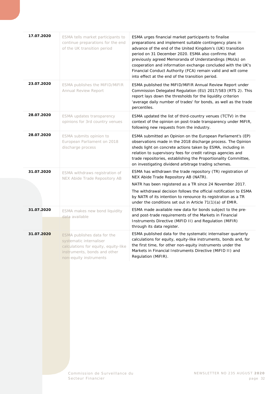| 17.07.2020 | ESMA tells market participants to<br>continue preparations for the end<br>of the UK transition period                                                    | ESMA urges financial market participants to finalise<br>preparations and implement suitable contingency plans in<br>advance of the end of the United Kingdom's (UK) transition<br>period on 31 December 2020. ESMA also confirms that<br>previously agreed Memoranda of Understandings (MoUs) on<br>cooperation and information exchange concluded with the UK's<br>Financial Conduct Authority (FCA) remain valid and will come<br>into effect at the end of the transition period. |
|------------|----------------------------------------------------------------------------------------------------------------------------------------------------------|--------------------------------------------------------------------------------------------------------------------------------------------------------------------------------------------------------------------------------------------------------------------------------------------------------------------------------------------------------------------------------------------------------------------------------------------------------------------------------------|
| 23.07.2020 | ESMA publishes the MiFID/MiFIR<br><b>Annual Review Report</b>                                                                                            | ESMA published the MIFID/MIFIR Annual Review Report under<br>Commission Delegated Regulation (EU) 2017/583 (RTS 2). This<br>report lays down the thresholds for the liquidity criterion<br>'average daily number of trades' for bonds, as well as the trade<br>percentiles.                                                                                                                                                                                                          |
| 28.07.2020 | ESMA updates transparency<br>opinions for 3rd country venues                                                                                             | ESMA updated the list of third-country venues (TCTV) in the<br>context of the opinion on post-trade transparency under MiFIR,<br>following new requests from the industry.                                                                                                                                                                                                                                                                                                           |
| 28.07.2020 | ESMA submits opinion to<br>European Parliament on 2018<br>discharge process                                                                              | ESMA submitted an Opinion on the European Parliament's (EP)<br>observations made in the 2018 discharge process. The Opinion<br>sheds light on concrete actions taken by ESMA, including in<br>relation to supervisory fees for credit ratings agencies and<br>trade repositories, establishing the Proportionality Committee,<br>on investigating dividend arbitrage trading schemes.                                                                                                |
| 31.07.2020 | ESMA withdraws registration of<br>NEX Abide Trade Repository AB                                                                                          | ESMA has withdrawn the trade repository (TR) registration of<br>NEX Abide Trade Repository AB (NATR).<br>NATR has been registered as a TR since 24 November 2017.<br>The withdrawal decision follows the official notification to ESMA<br>by NATR of its intention to renounce its registration as a TR<br>under the conditions set out in Article $71(1)(a)$ of EMIR.                                                                                                               |
| 31.07.2020 | ESMA makes new bond liquidity<br>data available                                                                                                          | ESMA made available new data for bonds subject to the pre-<br>and post-trade requirements of the Markets in Financial<br>Instruments Directive (MIFID II) and Regulation (MIFIR)<br>through its data register.                                                                                                                                                                                                                                                                       |
| 31.07.2020 | ESMA publishes data for the<br>systematic internaliser<br>calculations for equity, equity-like<br>instruments, bonds and other<br>non-equity instruments | ESMA published data for the systematic internaliser quarterly<br>calculations for equity, equity-like instruments, bonds and, for<br>the first time, for other non-equity instruments under the<br>Markets in Financial Instruments Directive (MIFID II) and<br>Regulation (MiFIR).                                                                                                                                                                                                  |